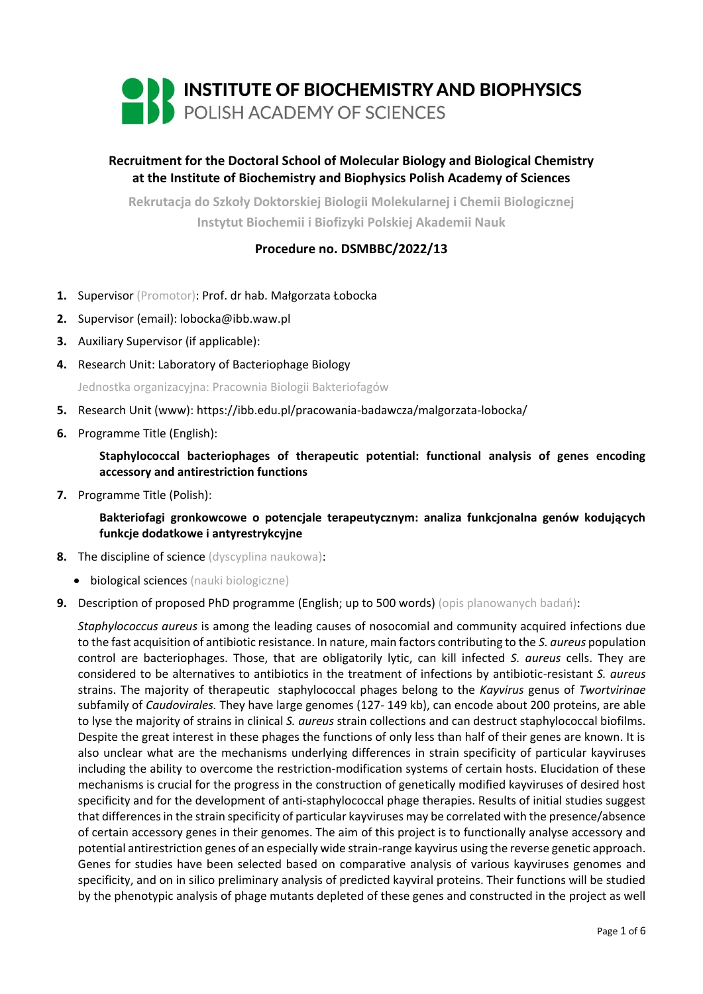

# **Recruitment for the Doctoral School of Molecular Biology and Biological Chemistry at the Institute of Biochemistry and Biophysics Polish Academy of Sciences**

**Rekrutacja do Szkoły Doktorskiej Biologii Molekularnej i Chemii Biologicznej Instytut Biochemii i Biofizyki Polskiej Akademii Nauk**

## **Procedure no. DSMBBC/2022/13**

- **1.** Supervisor (Promotor): Prof. dr hab. Małgorzata Łobocka
- **2.** Supervisor (email): lobocka@ibb.waw.pl
- **3.** Auxiliary Supervisor (if applicable):
- **4.** Research Unit: Laboratory of Bacteriophage Biology

Jednostka organizacyjna: Pracownia Biologii Bakteriofagów

- **5.** Research Unit (www): https://ibb.edu.pl/pracowania-badawcza/malgorzata-lobocka/
- **6.** Programme Title (English):

**Staphylococcal bacteriophages of therapeutic potential: functional analysis of genes encoding accessory and antirestriction functions**

**7.** Programme Title (Polish):

**Bakteriofagi gronkowcowe o potencjale terapeutycznym: analiza funkcjonalna genów kodujących funkcje dodatkowe i antyrestrykcyjne**

- **8.** The discipline of science (dyscyplina naukowa):
	- biological sciences (nauki biologiczne)
- **9.** Description of proposed PhD programme (English; up to 500 words) (opis planowanych badań):

*Staphylococcus aureus* is among the leading causes of nosocomial and community acquired infections due to the fast acquisition of antibiotic resistance. In nature, main factors contributing to the *S. aureus* population control are bacteriophages. Those, that are obligatorily lytic, can kill infected *S. aureus* cells. They are considered to be alternatives to antibiotics in the treatment of infections by antibiotic-resistant *S. aureus*  strains. The majority of therapeutic staphylococcal phages belong to the *Kayvirus* genus of *Twortvirinae*  subfamily of *Caudovirales.* They have large genomes (127- 149 kb), can encode about 200 proteins, are able to lyse the majority of strains in clinical *S. aureus* strain collections and can destruct staphylococcal biofilms. Despite the great interest in these phages the functions of only less than half of their genes are known. It is also unclear what are the mechanisms underlying differences in strain specificity of particular kayviruses including the ability to overcome the restriction-modification systems of certain hosts. Elucidation of these mechanisms is crucial for the progress in the construction of genetically modified kayviruses of desired host specificity and for the development of anti-staphylococcal phage therapies. Results of initial studies suggest that differences in the strain specificity of particular kayviruses may be correlated with the presence/absence of certain accessory genes in their genomes. The aim of this project is to functionally analyse accessory and potential antirestriction genes of an especially wide strain-range kayvirus using the reverse genetic approach. Genes for studies have been selected based on comparative analysis of various kayviruses genomes and specificity, and on in silico preliminary analysis of predicted kayviral proteins. Their functions will be studied by the phenotypic analysis of phage mutants depleted of these genes and constructed in the project as well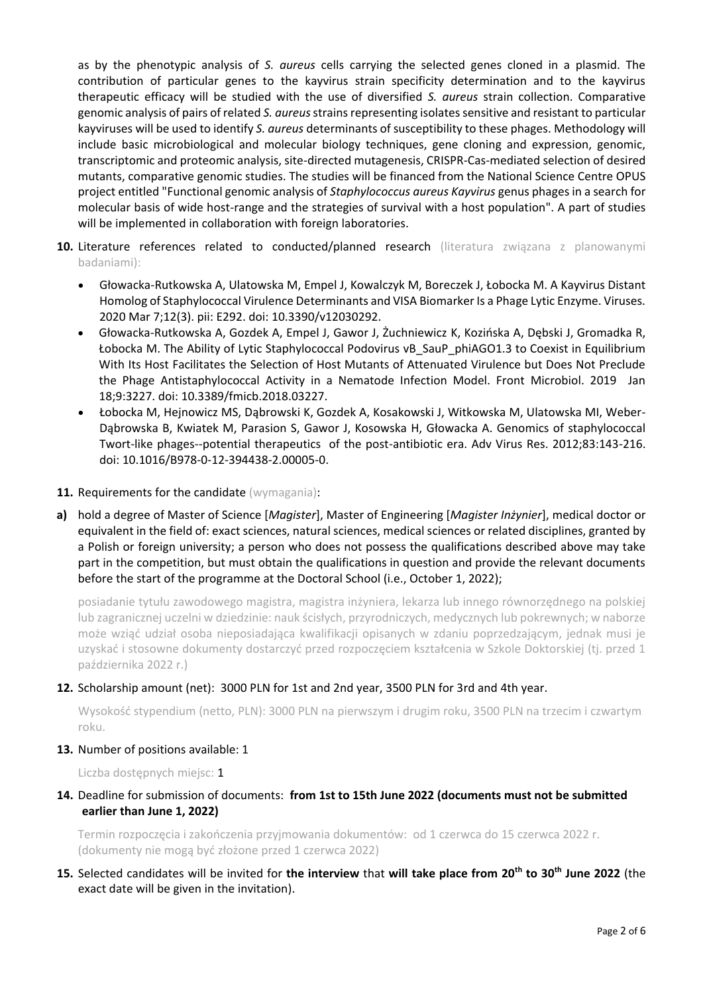as by the phenotypic analysis of *S. aureus* cells carrying the selected genes cloned in a plasmid. The contribution of particular genes to the kayvirus strain specificity determination and to the kayvirus therapeutic efficacy will be studied with the use of diversified *S. aureus* strain collection. Comparative genomic analysis of pairs of related *S. aureus*strains representing isolates sensitive and resistant to particular kayviruses will be used to identify *S. aureus* determinants of susceptibility to these phages. Methodology will include basic microbiological and molecular biology techniques, gene cloning and expression, genomic, transcriptomic and proteomic analysis, site-directed mutagenesis, CRISPR-Cas-mediated selection of desired mutants, comparative genomic studies. The studies will be financed from the National Science Centre OPUS project entitled "Functional genomic analysis of *Staphylococcus aureus Kayvirus* genus phages in a search for molecular basis of wide host-range and the strategies of survival with a host population". A part of studies will be implemented in collaboration with foreign laboratories.

- 10. Literature references related to conducted/planned research (literatura związana z planowanymi badaniami):
	- Głowacka-Rutkowska A, Ulatowska M, Empel J, Kowalczyk M, Boreczek J, Łobocka M. A Kayvirus Distant Homolog of Staphylococcal Virulence Determinants and VISA Biomarker Is a Phage Lytic Enzyme. Viruses. 2020 Mar 7;12(3). pii: E292. doi: 10.3390/v12030292.
	- Głowacka-Rutkowska A, Gozdek A, Empel J, Gawor J, Żuchniewicz K, Kozińska A, Dębski J, Gromadka R, Łobocka M. The Ability of Lytic Staphylococcal Podovirus vB\_SauP\_phiAGO1.3 to Coexist in Equilibrium With Its Host Facilitates the Selection of Host Mutants of Attenuated Virulence but Does Not Preclude the Phage Antistaphylococcal Activity in a Nematode Infection Model. Front Microbiol. 2019 Jan 18;9:3227. doi: 10.3389/fmicb.2018.03227.
	- Łobocka M, Hejnowicz MS, Dąbrowski K, Gozdek A, Kosakowski J, Witkowska M, Ulatowska MI, Weber-Dąbrowska B, Kwiatek M, Parasion S, Gawor J, Kosowska H, Głowacka A. Genomics of staphylococcal Twort-like phages--potential therapeutics of the post-antibiotic era. Adv Virus Res. 2012;83:143-216. doi: 10.1016/B978-0-12-394438-2.00005-0.
- 11. Requirements for the candidate (wymagania):
- **a)** hold a degree of Master of Science [*Magister*], Master of Engineering [*Magister Inżynier*], medical doctor or equivalent in the field of: exact sciences, natural sciences, medical sciences or related disciplines, granted by a Polish or foreign university; a person who does not possess the qualifications described above may take part in the competition, but must obtain the qualifications in question and provide the relevant documents before the start of the programme at the Doctoral School (i.e., October 1, 2022);

posiadanie tytułu zawodowego magistra, magistra inżyniera, lekarza lub innego równorzędnego na polskiej lub zagranicznej uczelni w dziedzinie: nauk ścisłych, przyrodniczych, medycznych lub pokrewnych; w naborze może wziąć udział osoba nieposiadająca kwalifikacji opisanych w zdaniu poprzedzającym, jednak musi je uzyskać i stosowne dokumenty dostarczyć przed rozpoczęciem kształcenia w Szkole Doktorskiej (tj. przed 1 października 2022 r.)

### **12.** Scholarship amount (net): 3000 PLN for 1st and 2nd year, 3500 PLN for 3rd and 4th year.

Wysokość stypendium (netto, PLN): 3000 PLN na pierwszym i drugim roku, 3500 PLN na trzecim i czwartym roku.

### **13.** Number of positions available: 1

Liczba dostępnych miejsc: 1

## **14.** Deadline for submission of documents: **from 1st to 15th June 2022 (documents must not be submitted earlier than June 1, 2022)**

Termin rozpoczęcia i zakończenia przyjmowania dokumentów: od 1 czerwca do 15 czerwca 2022 r. (dokumenty nie mogą być złożone przed 1 czerwca 2022)

**15.** Selected candidates will be invited for **the interview** that **will take place from 20th to 30th June 2022** (the exact date will be given in the invitation).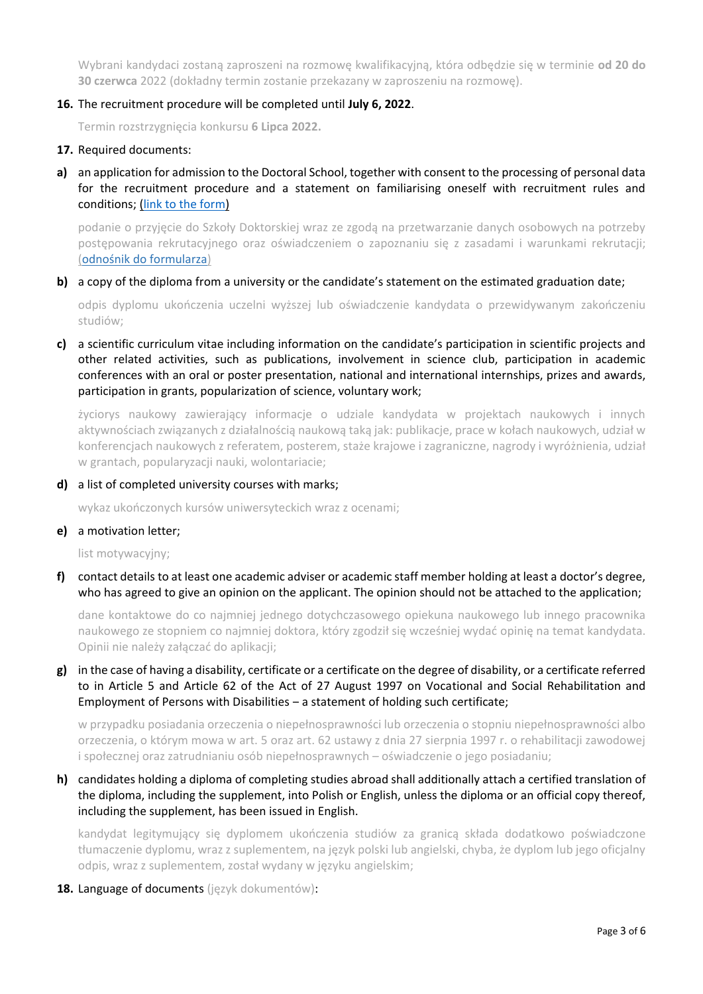Wybrani kandydaci zostaną zaproszeni na rozmowę kwalifikacyjną, która odbędzie się w terminie **od 20 do 30 czerwca** 2022 (dokładny termin zostanie przekazany w zaproszeniu na rozmowę).

#### **16.** The recruitment procedure will be completed until **July 6, 2022**.

Termin rozstrzygnięcia konkursu **6 Lipca 2022.**

#### **17.** Required documents:

**a)** an application for admission to the Doctoral School, together with consent to the processing of personal data for the recruitment procedure and a statement on familiarising oneself with recruitment rules and conditions; [\(link to the form\)](https://ibb.edu.pl/app/uploads/2022/05/application-form_doctoralschool_ibb-pas.docx)

podanie o przyjęcie do Szkoły Doktorskiej wraz ze zgodą na przetwarzanie danych osobowych na potrzeby postępowania rekrutacyjnego oraz oświadczeniem o zapoznaniu się z zasadami i warunkami rekrutacji; ([odnośnik do formularza](https://ibb.edu.pl/app/uploads/2022/05/application-form_doctoralschool_ibb-pas.docx))

#### **b)** a copy of the diploma from a university or the candidate's statement on the estimated graduation date:

odpis dyplomu ukończenia uczelni wyższej lub oświadczenie kandydata o przewidywanym zakończeniu studiów;

## **c)** a scientific curriculum vitae including information on the candidate's participation in scientific projects and other related activities, such as publications, involvement in science club, participation in academic conferences with an oral or poster presentation, national and international internships, prizes and awards, participation in grants, popularization of science, voluntary work;

życiorys naukowy zawierający informacje o udziale kandydata w projektach naukowych i innych aktywnościach związanych z działalnością naukową taką jak: publikacje, prace w kołach naukowych, udział w konferencjach naukowych z referatem, posterem, staże krajowe i zagraniczne, nagrody i wyróżnienia, udział w grantach, popularyzacji nauki, wolontariacie;

#### **d)** a list of completed university courses with marks;

wykaz ukończonych kursów uniwersyteckich wraz z ocenami;

#### **e)** a motivation letter;

list motywacyjny;

**f)** contact details to at least one academic adviser or academic staff member holding at least a doctor's degree, who has agreed to give an opinion on the applicant. The opinion should not be attached to the application;

dane kontaktowe do co najmniej jednego dotychczasowego opiekuna naukowego lub innego pracownika naukowego ze stopniem co najmniej doktora, który zgodził się wcześniej wydać opinię na temat kandydata. Opinii nie należy załączać do aplikacji;

**g)** in the case of having a disability, certificate or a certificate on the degree of disability, or a certificate referred to in Article 5 and Article 62 of the Act of 27 August 1997 on Vocational and Social Rehabilitation and Employment of Persons with Disabilities - a statement of holding such certificate;

w przypadku posiadania orzeczenia o niepełnosprawności lub orzeczenia o stopniu niepełnosprawności albo orzeczenia, o którym mowa w art. 5 oraz art. 62 ustawy z dnia 27 sierpnia 1997 r. o rehabilitacji zawodowej i społecznej oraz zatrudnianiu osób niepełnosprawnych – oświadczenie o jego posiadaniu;

## **h)** candidates holding a diploma of completing studies abroad shall additionally attach a certified translation of the diploma, including the supplement, into Polish or English, unless the diploma or an official copy thereof, including the supplement, has been issued in English.

kandydat legitymujący się dyplomem ukończenia studiów za granicą składa dodatkowo poświadczone tłumaczenie dyplomu, wraz z suplementem, na język polski lub angielski, chyba, że dyplom lub jego oficjalny odpis, wraz z suplementem, został wydany w języku angielskim;

**18.** Language of documents (język dokumentów):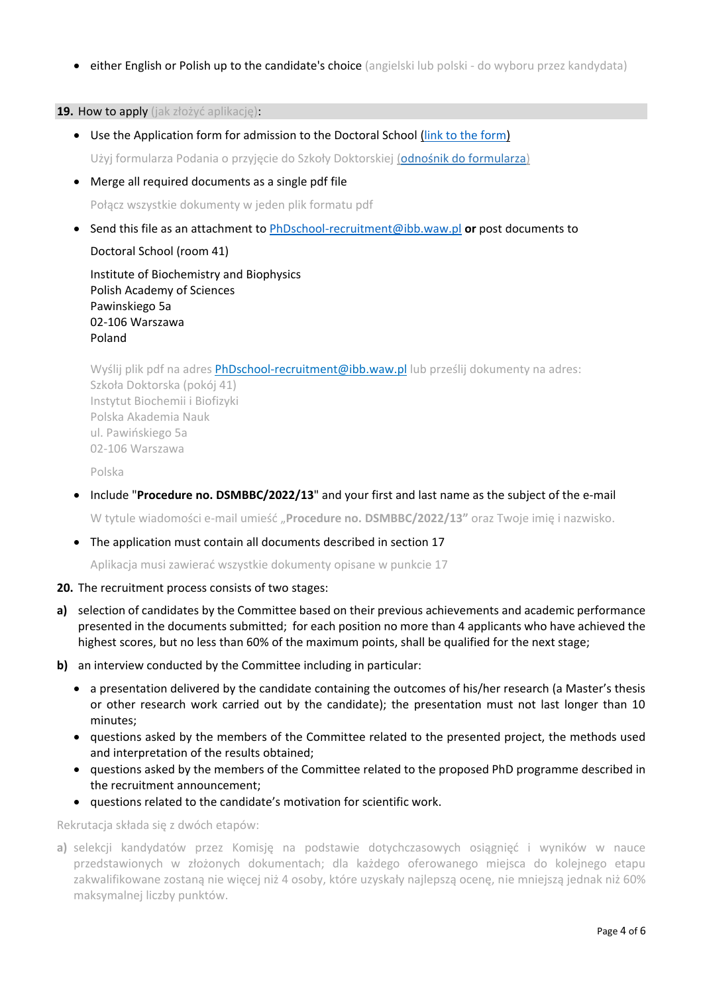• either English or Polish up to the candidate's choice (angielski lub polski - do wyboru przez kandydata)

**19.** How to apply (jak złożyć aplikację):

- Use the Application form for admission to the Doctoral School [\(link to the form\)](https://ibb.edu.pl/app/uploads/2022/05/application-form_doctoralschool_ibb-pas.docx) Użyj formularza Podania o przyjęcie do Szkoły Doktorskiej ([odnośnik do formularza](https://ibb.edu.pl/app/uploads/2022/05/application-form_doctoralschool_ibb-pas.docx))
- Merge all required documents as a single pdf file

Połącz wszystkie dokumenty w jeden plik formatu pdf

• Send this file as an attachment to [PhDschool-recruitment@ibb.waw.pl](mailto:PhDschool-recruitment@ibb.waw.pl) **or** post documents to

Doctoral School (room 41)

Institute of Biochemistry and Biophysics Polish Academy of Sciences Pawinskiego 5a 02-106 Warszawa Poland

Wyślij plik pdf na adres [PhDschool-recruitment@ibb.waw.pl](mailto:PhDschool-recruitment@ibb.waw.pl) lub prześlij dokumenty na adres: Szkoła Doktorska (pokój 41) Instytut Biochemii i Biofizyki Polska Akademia Nauk ul. Pawińskiego 5a 02-106 Warszawa

Polska

• Include "**Procedure no. DSMBBC/2022/13**" and your first and last name as the subject of the e-mail

W tytule wiadomości e-mail umieść "**Procedure no. DSMBBC/2022/13"** oraz Twoje imię i nazwisko.

• The application must contain all documents described in section 17

Aplikacja musi zawierać wszystkie dokumenty opisane w punkcie 17

- **20.** The recruitment process consists of two stages:
- **a)** selection of candidates by the Committee based on their previous achievements and academic performance presented in the documents submitted; for each position no more than 4 applicants who have achieved the highest scores, but no less than 60% of the maximum points, shall be qualified for the next stage;
- **b)** an interview conducted by the Committee including in particular:
	- a presentation delivered by the candidate containing the outcomes of his/her research (a Master's thesis or other research work carried out by the candidate); the presentation must not last longer than 10 minutes;
	- questions asked by the members of the Committee related to the presented project, the methods used and interpretation of the results obtained;
	- questions asked by the members of the Committee related to the proposed PhD programme described in the recruitment announcement;
	- questions related to the candidate's motivation for scientific work.

Rekrutacja składa się z dwóch etapów:

**a)** selekcji kandydatów przez Komisję na podstawie dotychczasowych osiągnięć i wyników w nauce przedstawionych w złożonych dokumentach; dla każdego oferowanego miejsca do kolejnego etapu zakwalifikowane zostaną nie więcej niż 4 osoby, które uzyskały najlepszą ocenę, nie mniejszą jednak niż 60% maksymalnej liczby punktów.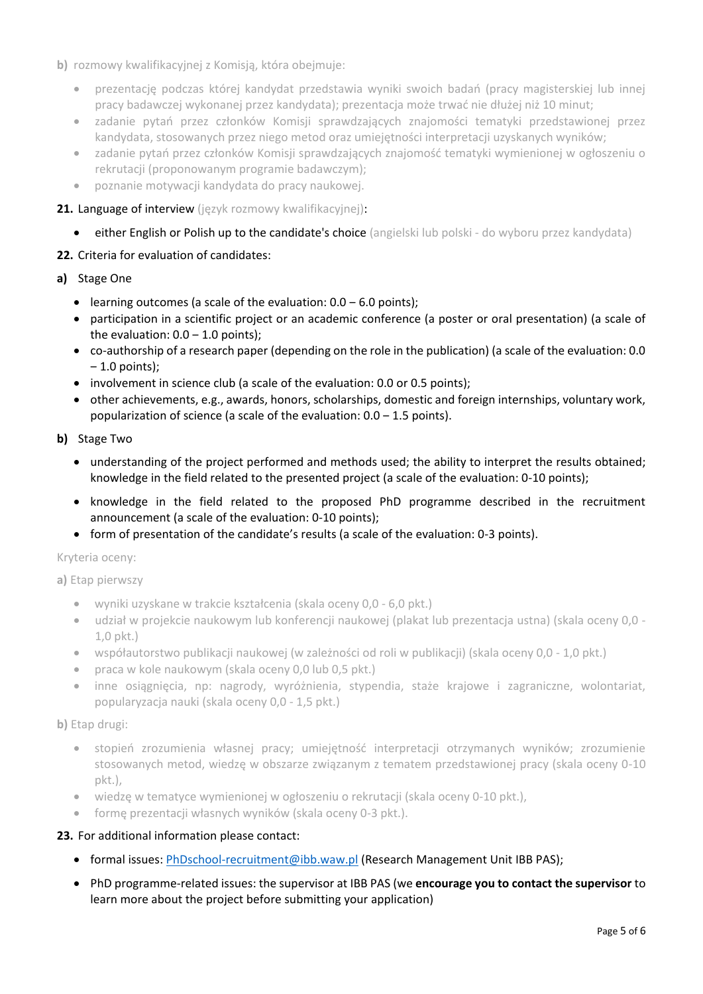- **b)** rozmowy kwalifikacyjnej z Komisją, która obejmuje:
	- prezentację podczas której kandydat przedstawia wyniki swoich badań (pracy magisterskiej lub innej pracy badawczej wykonanej przez kandydata); prezentacja może trwać nie dłużej niż 10 minut;
	- zadanie pytań przez członków Komisji sprawdzających znajomości tematyki przedstawionej przez kandydata, stosowanych przez niego metod oraz umiejętności interpretacji uzyskanych wyników;
	- zadanie pytań przez członków Komisji sprawdzających znajomość tematyki wymienionej w ogłoszeniu o rekrutacji (proponowanym programie badawczym);
	- poznanie motywacji kandydata do pracy naukowej.

### 21. Language of interview (język rozmowy kwalifikacyjnej):

• either English or Polish up to the candidate's choice (angielski lub polski - do wyboru przez kandydata)

### **22.** Criteria for evaluation of candidates:

- **a)** Stage One
	- learning outcomes (a scale of the evaluation:  $0.0 6.0$  points);
	- participation in a scientific project or an academic conference (a poster or oral presentation) (a scale of the evaluation:  $0.0 - 1.0$  points);
	- co-authorship of a research paper (depending on the role in the publication) (a scale of the evaluation: 0.0  $-1.0$  points);
	- involvement in science club (a scale of the evaluation: 0.0 or 0.5 points);
	- other achievements, e.g., awards, honors, scholarships, domestic and foreign internships, voluntary work, popularization of science (a scale of the evaluation:  $0.0 - 1.5$  points).
- **b)** Stage Two
	- understanding of the project performed and methods used; the ability to interpret the results obtained; knowledge in the field related to the presented project (a scale of the evaluation: 0-10 points);
	- knowledge in the field related to the proposed PhD programme described in the recruitment announcement (a scale of the evaluation: 0-10 points);
	- form of presentation of the candidate's results (a scale of the evaluation: 0-3 points).

### Kryteria oceny:

**a)** Etap pierwszy

- wyniki uzyskane w trakcie kształcenia (skala oceny 0,0 6,0 pkt.)
- udział w projekcie naukowym lub konferencji naukowej (plakat lub prezentacja ustna) (skala oceny 0,0 1,0 pkt.)
- współautorstwo publikacji naukowej (w zależności od roli w publikacji) (skala oceny 0,0 1,0 pkt.)
- praca w kole naukowym (skala oceny 0,0 lub 0,5 pkt.)
- inne osiągnięcia, np: nagrody, wyróżnienia, stypendia, staże krajowe i zagraniczne, wolontariat, popularyzacja nauki (skala oceny 0,0 - 1,5 pkt.)

**b)** Etap drugi:

- stopień zrozumienia własnej pracy; umiejętność interpretacji otrzymanych wyników; zrozumienie stosowanych metod, wiedzę w obszarze związanym z tematem przedstawionej pracy (skala oceny 0-10 pkt.),
- wiedzę w tematyce wymienionej w ogłoszeniu o rekrutacji (skala oceny 0-10 pkt.),
- formę prezentacji własnych wyników (skala oceny 0-3 pkt.).

### **23.** For additional information please contact:

- formal issues: [PhDschool-recruitment@ibb.waw.pl](mailto:PhDschool-recruitment@ibb.waw.pl) (Research Management Unit IBB PAS);
- PhD programme-related issues: the supervisor at IBB PAS (we **encourage you to contact the supervisor** to learn more about the project before submitting your application)